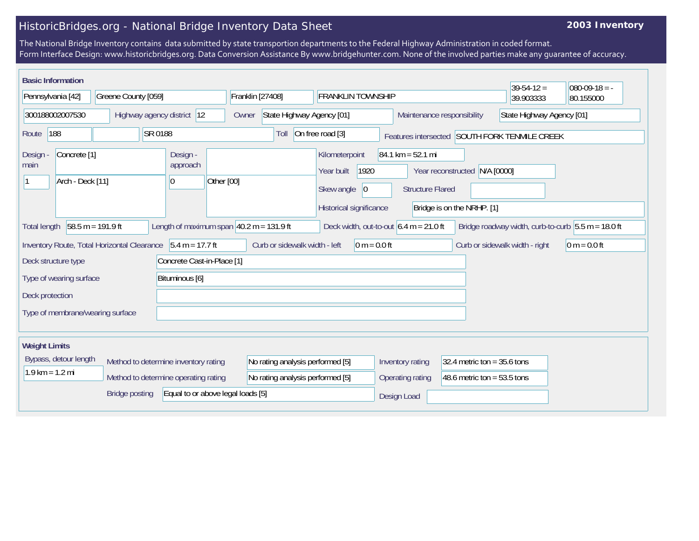## HistoricBridges.org - National Bridge Inventory Data Sheet

## **2003 Inventory**

The National Bridge Inventory contains data submitted by state transportion departments to the Federal Highway Administration in coded format. Form Interface Design: www.historicbridges.org. Data Conversion Assistance By www.bridgehunter.com. None of the involved parties make any guarantee of accuracy.

| <b>Basic Information</b><br>$39 - 54 - 12 =$<br>$080-09-18 = -$                                                                                                                                                               |                       |                            |                                          |                                    |                                                                                      |                                                                |                                                             |                                               |           |
|-------------------------------------------------------------------------------------------------------------------------------------------------------------------------------------------------------------------------------|-----------------------|----------------------------|------------------------------------------|------------------------------------|--------------------------------------------------------------------------------------|----------------------------------------------------------------|-------------------------------------------------------------|-----------------------------------------------|-----------|
| Pennsylvania [42]                                                                                                                                                                                                             |                       | Greene County [059]        |                                          | Franklin [27408]                   | <b>FRANKLIN TOWNSHIP</b>                                                             |                                                                |                                                             | 39.903333                                     | 80.155000 |
| 300188002007530                                                                                                                                                                                                               |                       | Highway agency district 12 |                                          | State Highway Agency [01]<br>Owner |                                                                                      |                                                                | State Highway Agency [01]<br>Maintenance responsibility     |                                               |           |
| Route                                                                                                                                                                                                                         | 188                   | SR 0188                    |                                          | Toll                               | On free road [3]                                                                     |                                                                |                                                             | Features intersected SOUTH FORK TENMILE CREEK |           |
| Concrete <sup>[1]</sup><br><b>Design</b><br>main<br>Arch - Deck [11]                                                                                                                                                          |                       |                            | Design -<br>approach<br>Other [00]<br>10 |                                    | Kilometerpoint<br>1920<br>Year built<br>Skew angle<br> 0 <br>Historical significance | $84.1 \text{ km} = 52.1 \text{ mi}$<br><b>Structure Flared</b> | Year reconstructed N/A [0000]<br>Bridge is on the NRHP. [1] |                                               |           |
| Length of maximum span $40.2$ m = 131.9 ft<br>58.5 m = 191.9 ft<br>Deck width, out-to-out $6.4 \text{ m} = 21.0 \text{ ft}$<br>Bridge roadway width, curb-to-curb $5.5 m = 18.0 ft$<br><b>Total length</b>                    |                       |                            |                                          |                                    |                                                                                      |                                                                |                                                             |                                               |           |
| $5.4 m = 17.7 ft$<br>Inventory Route, Total Horizontal Clearance<br>Curb or sidewalk width - left<br>$0 m = 0.0 ft$<br>Curb or sidewalk width - right<br>$ 0 m = 0.0 ft$<br>Concrete Cast-in-Place [1]<br>Deck structure type |                       |                            |                                          |                                    |                                                                                      |                                                                |                                                             |                                               |           |
| Bituminous [6]<br>Type of wearing surface                                                                                                                                                                                     |                       |                            |                                          |                                    |                                                                                      |                                                                |                                                             |                                               |           |
| Deck protection<br>Type of membrane/wearing surface                                                                                                                                                                           |                       |                            |                                          |                                    |                                                                                      |                                                                |                                                             |                                               |           |
| <b>Weight Limits</b>                                                                                                                                                                                                          |                       |                            |                                          |                                    |                                                                                      |                                                                |                                                             |                                               |           |
|                                                                                                                                                                                                                               | Bypass, detour length |                            | Method to determine inventory rating     | No rating analysis performed [5]   |                                                                                      | Inventory rating                                               | 32.4 metric ton = $35.6$ tons                               |                                               |           |
| $1.9$ km = $1.2$ mi                                                                                                                                                                                                           |                       |                            | Method to determine operating rating     | No rating analysis performed [5]   |                                                                                      | Operating rating                                               | 48.6 metric ton = $53.5$ tons                               |                                               |           |
|                                                                                                                                                                                                                               |                       | <b>Bridge posting</b>      | Equal to or above legal loads [5]        |                                    |                                                                                      | Design Load                                                    |                                                             |                                               |           |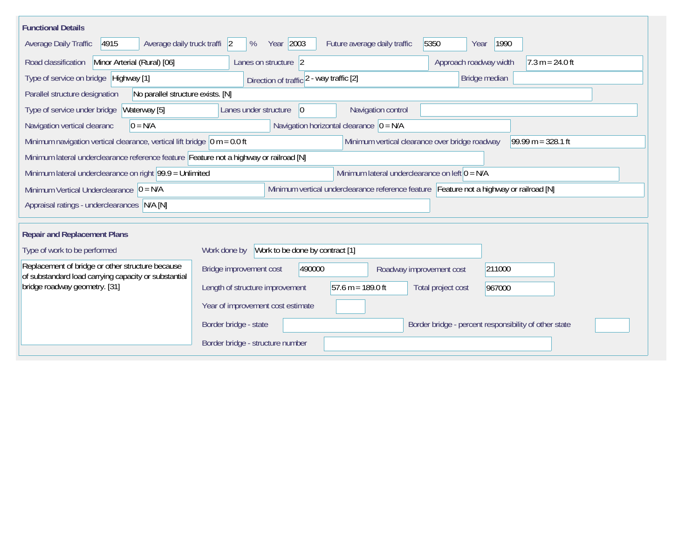| <b>Functional Details</b>                                                                                      |                                                                                         |                                                       |  |  |  |  |  |
|----------------------------------------------------------------------------------------------------------------|-----------------------------------------------------------------------------------------|-------------------------------------------------------|--|--|--|--|--|
| Average daily truck traffi 2<br>Average Daily Traffic<br>4915                                                  | Year 2003<br>5350<br>Future average daily traffic<br>%                                  | 1990<br>Year                                          |  |  |  |  |  |
| Road classification<br>Minor Arterial (Rural) [06]                                                             | Lanes on structure 2                                                                    | Approach roadway width<br>$7.3 m = 24.0 ft$           |  |  |  |  |  |
| Type of service on bridge Highway [1]                                                                          | Direction of traffic 2 - way traffic [2]                                                | Bridge median                                         |  |  |  |  |  |
| No parallel structure exists. [N]<br>Parallel structure designation                                            |                                                                                         |                                                       |  |  |  |  |  |
| Waterway [5]<br>Type of service under bridge                                                                   | Navigation control<br>Lanes under structure<br>$\overline{0}$                           |                                                       |  |  |  |  |  |
| $0 = N/A$<br>Navigation vertical clearanc                                                                      | Navigation horizontal clearance $ 0 = N/A $                                             |                                                       |  |  |  |  |  |
| Minimum navigation vertical clearance, vertical lift bridge $\vert$ 0 m = 0.0 ft                               | Minimum vertical clearance over bridge roadway                                          | 99.99 m = $328.1$ ft                                  |  |  |  |  |  |
|                                                                                                                | Minimum lateral underclearance reference feature Feature not a highway or railroad [N]  |                                                       |  |  |  |  |  |
| Minimum lateral underclearance on right $99.9 =$ Unlimited<br>Minimum lateral underclearance on left $0 = N/A$ |                                                                                         |                                                       |  |  |  |  |  |
| Minimum Vertical Underclearance $ 0 = N/A$                                                                     | Minimum vertical underclearance reference feature Feature not a highway or railroad [N] |                                                       |  |  |  |  |  |
| Appraisal ratings - underclearances N/A [N]                                                                    |                                                                                         |                                                       |  |  |  |  |  |
|                                                                                                                |                                                                                         |                                                       |  |  |  |  |  |
| <b>Repair and Replacement Plans</b>                                                                            |                                                                                         |                                                       |  |  |  |  |  |
| Type of work to be performed                                                                                   | Work to be done by contract [1]<br>Work done by                                         |                                                       |  |  |  |  |  |
| Replacement of bridge or other structure because<br>of substandard load carrying capacity or substantial       | 490000<br>Bridge improvement cost<br>Roadway improvement cost                           | 211000                                                |  |  |  |  |  |
| bridge roadway geometry. [31]                                                                                  | 57.6 m = 189.0 ft<br>Length of structure improvement<br>Total project cost              | 967000                                                |  |  |  |  |  |
|                                                                                                                | Year of improvement cost estimate                                                       |                                                       |  |  |  |  |  |
|                                                                                                                | Border bridge - state                                                                   | Border bridge - percent responsibility of other state |  |  |  |  |  |
|                                                                                                                | Border bridge - structure number                                                        |                                                       |  |  |  |  |  |